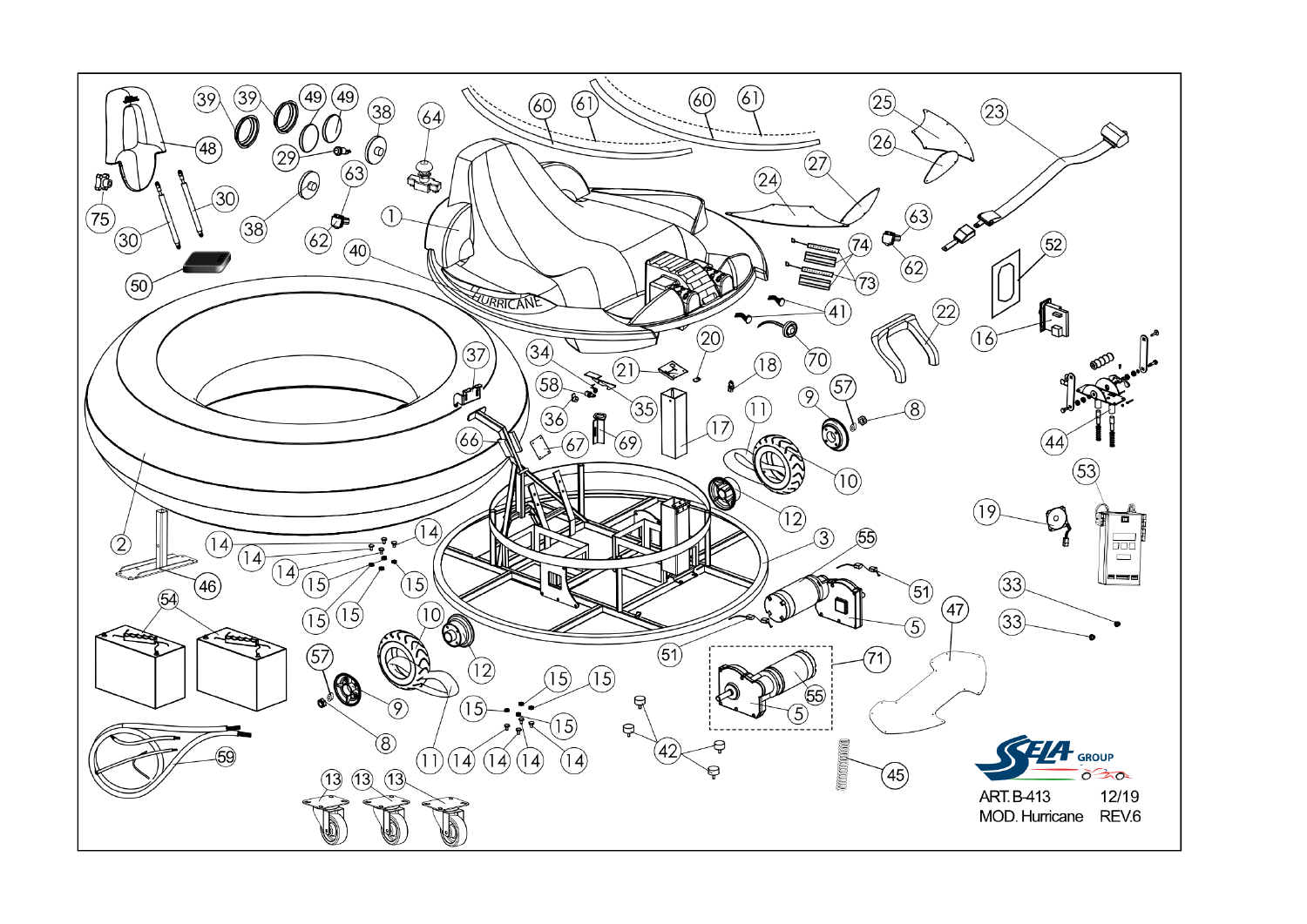